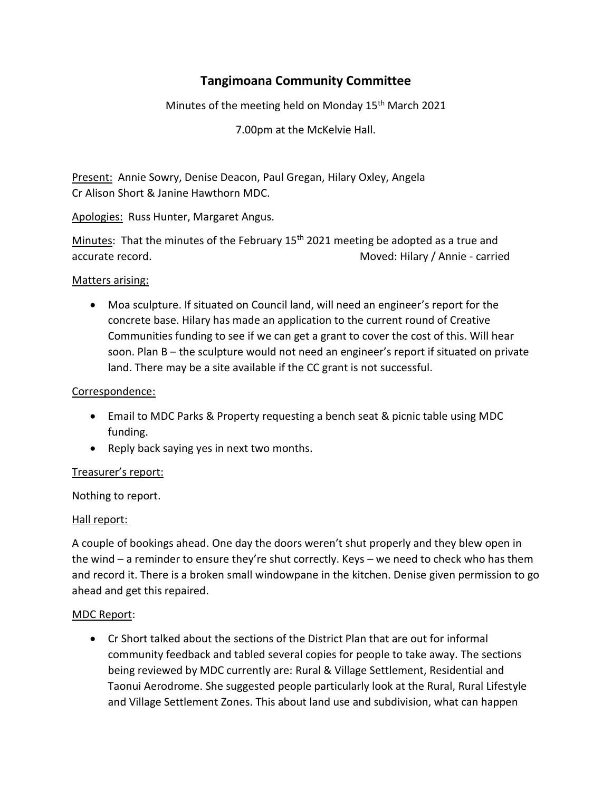# **Tangimoana Community Committee**

Minutes of the meeting held on Monday 15<sup>th</sup> March 2021

7.00pm at the McKelvie Hall.

Present: Annie Sowry, Denise Deacon, Paul Gregan, Hilary Oxley, Angela Cr Alison Short & Janine Hawthorn MDC.

Apologies: Russ Hunter, Margaret Angus.

Minutes: That the minutes of the February 15<sup>th</sup> 2021 meeting be adopted as a true and accurate record. Moved: Hilary / Annie - carried

### Matters arising:

• Moa sculpture. If situated on Council land, will need an engineer's report for the concrete base. Hilary has made an application to the current round of Creative Communities funding to see if we can get a grant to cover the cost of this. Will hear soon. Plan B – the sculpture would not need an engineer's report if situated on private land. There may be a site available if the CC grant is not successful.

## Correspondence:

- Email to MDC Parks & Property requesting a bench seat & picnic table using MDC funding.
- Reply back saying yes in next two months.

## Treasurer's report:

Nothing to report.

### Hall report:

A couple of bookings ahead. One day the doors weren't shut properly and they blew open in the wind – a reminder to ensure they're shut correctly. Keys – we need to check who has them and record it. There is a broken small windowpane in the kitchen. Denise given permission to go ahead and get this repaired.

### MDC Report:

• Cr Short talked about the sections of the District Plan that are out for informal community feedback and tabled several copies for people to take away. The sections being reviewed by MDC currently are: Rural & Village Settlement, Residential and Taonui Aerodrome. She suggested people particularly look at the Rural, Rural Lifestyle and Village Settlement Zones. This about land use and subdivision, what can happen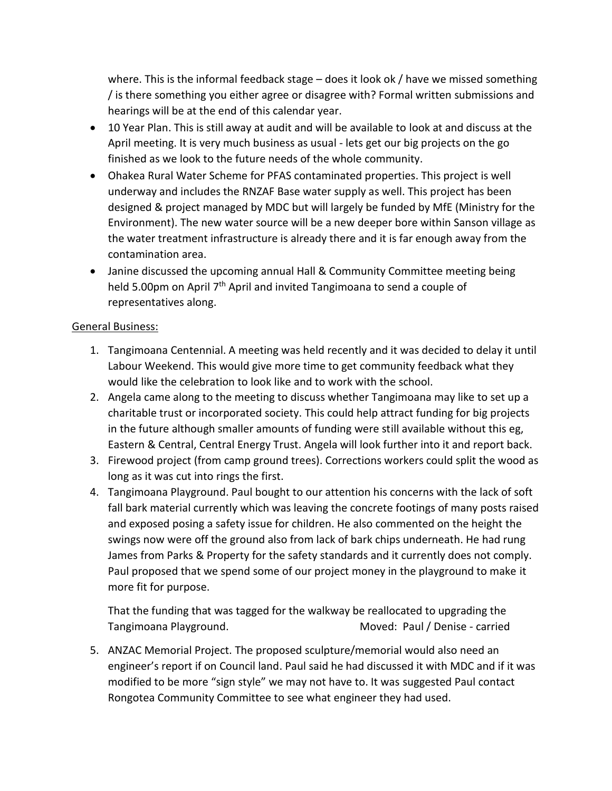where. This is the informal feedback stage – does it look ok / have we missed something / is there something you either agree or disagree with? Formal written submissions and hearings will be at the end of this calendar year.

- 10 Year Plan. This is still away at audit and will be available to look at and discuss at the April meeting. It is very much business as usual - lets get our big projects on the go finished as we look to the future needs of the whole community.
- Ohakea Rural Water Scheme for PFAS contaminated properties. This project is well underway and includes the RNZAF Base water supply as well. This project has been designed & project managed by MDC but will largely be funded by MfE (Ministry for the Environment). The new water source will be a new deeper bore within Sanson village as the water treatment infrastructure is already there and it is far enough away from the contamination area.
- Janine discussed the upcoming annual Hall & Community Committee meeting being held 5.00pm on April 7<sup>th</sup> April and invited Tangimoana to send a couple of representatives along.

## General Business:

- 1. Tangimoana Centennial. A meeting was held recently and it was decided to delay it until Labour Weekend. This would give more time to get community feedback what they would like the celebration to look like and to work with the school.
- 2. Angela came along to the meeting to discuss whether Tangimoana may like to set up a charitable trust or incorporated society. This could help attract funding for big projects in the future although smaller amounts of funding were still available without this eg, Eastern & Central, Central Energy Trust. Angela will look further into it and report back.
- 3. Firewood project (from camp ground trees). Corrections workers could split the wood as long as it was cut into rings the first.
- 4. Tangimoana Playground. Paul bought to our attention his concerns with the lack of soft fall bark material currently which was leaving the concrete footings of many posts raised and exposed posing a safety issue for children. He also commented on the height the swings now were off the ground also from lack of bark chips underneath. He had rung James from Parks & Property for the safety standards and it currently does not comply. Paul proposed that we spend some of our project money in the playground to make it more fit for purpose.

That the funding that was tagged for the walkway be reallocated to upgrading the Tangimoana Playground. Moved: Paul / Denise - carried

5. ANZAC Memorial Project. The proposed sculpture/memorial would also need an engineer's report if on Council land. Paul said he had discussed it with MDC and if it was modified to be more "sign style" we may not have to. It was suggested Paul contact Rongotea Community Committee to see what engineer they had used.